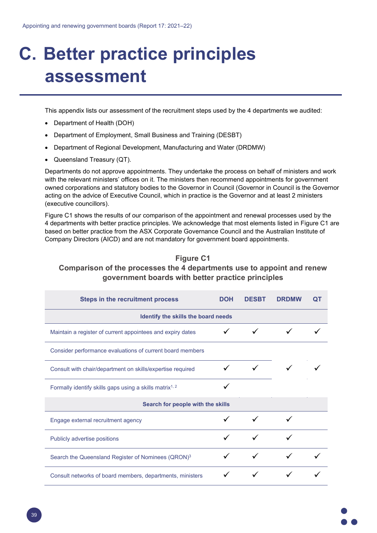## **C. Better practice principles assessment**

This appendix lists our assessment of the recruitment steps used by the 4 departments we audited:

- Department of Health (DOH)
- Department of Employment, Small Business and Training (DESBT)
- Department of Regional Development, Manufacturing and Water (DRDMW)
- Queensland Treasury (QT).

Departments do not approve appointments. They undertake the process on behalf of ministers and work with the relevant ministers' offices on it. The ministers then recommend appointments for government owned corporations and statutory bodies to the Governor in Council (Governor in Council is the Governor acting on the advice of Executive Council, which in practice is the Governor and at least 2 ministers (executive councillors).

Figure C1 shows the results of our comparison of the appointment and renewal processes used by the 4 departments with better practice principles. We acknowledge that most elements listed in Figure C1 are based on better practice from the ASX Corporate Governance Council and the Australian Institute of Company Directors (AICD) and are not mandatory for government board appointments.

## **Figure C1**

## **Comparison of the processes the 4 departments use to appoint and renew government boards with better practice principles**

| <b>Steps in the recruitment process</b>                             | <b>DOH</b> | <b>DESBT</b> | <b>DRDMW</b> | ΩT |  |  |  |
|---------------------------------------------------------------------|------------|--------------|--------------|----|--|--|--|
| Identify the skills the board needs                                 |            |              |              |    |  |  |  |
| Maintain a register of current appointees and expiry dates          |            |              |              |    |  |  |  |
| Consider performance evaluations of current board members           |            |              |              |    |  |  |  |
| Consult with chair/department on skills/expertise required          |            |              |              |    |  |  |  |
| Formally identify skills gaps using a skills matrix <sup>1, 2</sup> |            |              |              |    |  |  |  |
| Search for people with the skills                                   |            |              |              |    |  |  |  |
| Engage external recruitment agency                                  |            |              |              |    |  |  |  |
| Publicly advertise positions                                        |            |              |              |    |  |  |  |
| Search the Queensland Register of Nominees (QRON) <sup>3</sup>      |            |              |              |    |  |  |  |
| Consult networks of board members, departments, ministers           |            |              |              |    |  |  |  |

39